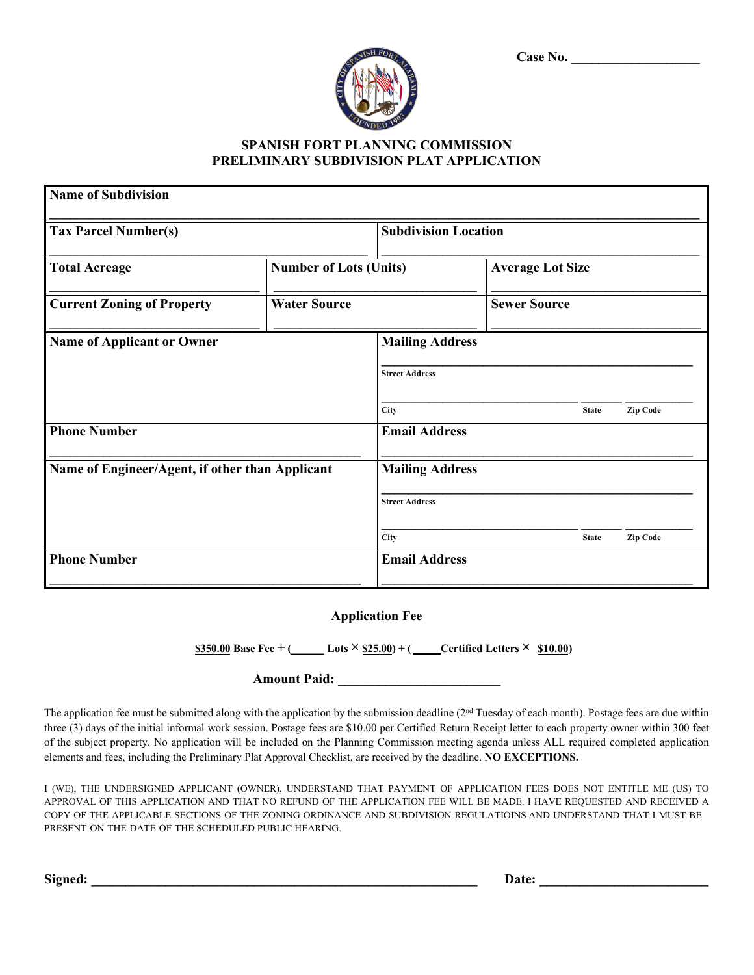| Case No. |  |  |  |  |  |  |  |  |  |
|----------|--|--|--|--|--|--|--|--|--|
|          |  |  |  |  |  |  |  |  |  |



## **SPANISH FORT PLANNING COMMISSION PRELIMINARY SUBDIVISION PLAT APPLICATION**

| <b>Name of Subdivision</b>                      |                             |                                                         |  |                         |              |                 |  |  |  |  |
|-------------------------------------------------|-----------------------------|---------------------------------------------------------|--|-------------------------|--------------|-----------------|--|--|--|--|
| <b>Tax Parcel Number(s)</b>                     | <b>Subdivision Location</b> |                                                         |  |                         |              |                 |  |  |  |  |
| <b>Total Acreage</b>                            |                             | <b>Number of Lots (Units)</b>                           |  | <b>Average Lot Size</b> |              |                 |  |  |  |  |
| <b>Current Zoning of Property</b>               | <b>Water Source</b>         |                                                         |  | <b>Sewer Source</b>     |              |                 |  |  |  |  |
| Name of Applicant or Owner                      |                             | <b>Mailing Address</b><br><b>Street Address</b><br>City |  |                         | <b>State</b> | Zip Code        |  |  |  |  |
| <b>Phone Number</b>                             |                             | <b>Email Address</b>                                    |  |                         |              |                 |  |  |  |  |
| Name of Engineer/Agent, if other than Applicant |                             | <b>Mailing Address</b>                                  |  |                         |              |                 |  |  |  |  |
|                                                 |                             | <b>Street Address</b>                                   |  |                         |              |                 |  |  |  |  |
|                                                 |                             | <b>City</b>                                             |  |                         | <b>State</b> | <b>Zip Code</b> |  |  |  |  |
| <b>Phone Number</b>                             |                             | <b>Email Address</b>                                    |  |                         |              |                 |  |  |  |  |

## **Application Fee**

 $\frac{$350.00}{8}$  **Base Fee + (\_\_\_\_\_\_ Lots**  $\times$  **\$25.00) + (\_\_\_\_Certified Letters**  $\times$  **\$10.00)** 

## **Amount Paid: \_\_\_\_\_\_\_\_\_\_\_\_\_\_\_\_\_\_\_\_\_\_\_\_**

The application fee must be submitted along with the application by the submission deadline  $(2<sup>nd</sup> Tuesday of each month)$ . Postage fees are due within three (3) days of the initial informal work session. Postage fees are \$10.00 per Certified Return Receipt letter to each property owner within 300 feet of the subject property. No application will be included on the Planning Commission meeting agenda unless ALL required completed application elements and fees, including the Preliminary Plat Approval Checklist, are received by the deadline. **NO EXCEPTIONS.**

I (WE), THE UNDERSIGNED APPLICANT (OWNER), UNDERSTAND THAT PAYMENT OF APPLICATION FEES DOES NOT ENTITLE ME (US) TO APPROVAL OF THIS APPLICATION AND THAT NO REFUND OF THE APPLICATION FEE WILL BE MADE. I HAVE REQUESTED AND RECEIVED A COPY OF THE APPLICABLE SECTIONS OF THE ZONING ORDINANCE AND SUBDIVISION REGULATIOINS AND UNDERSTAND THAT I MUST BE PRESENT ON THE DATE OF THE SCHEDULED PUBLIC HEARING.

**Signed: \_\_\_\_\_\_\_\_\_\_\_\_\_\_\_\_\_\_\_\_\_\_\_\_\_\_\_\_\_\_\_\_\_\_\_\_\_\_\_\_\_\_\_\_\_\_\_\_\_\_\_\_\_\_\_\_\_ Date: \_\_\_\_\_\_\_\_\_\_\_\_\_\_\_\_\_\_\_\_\_\_\_\_\_**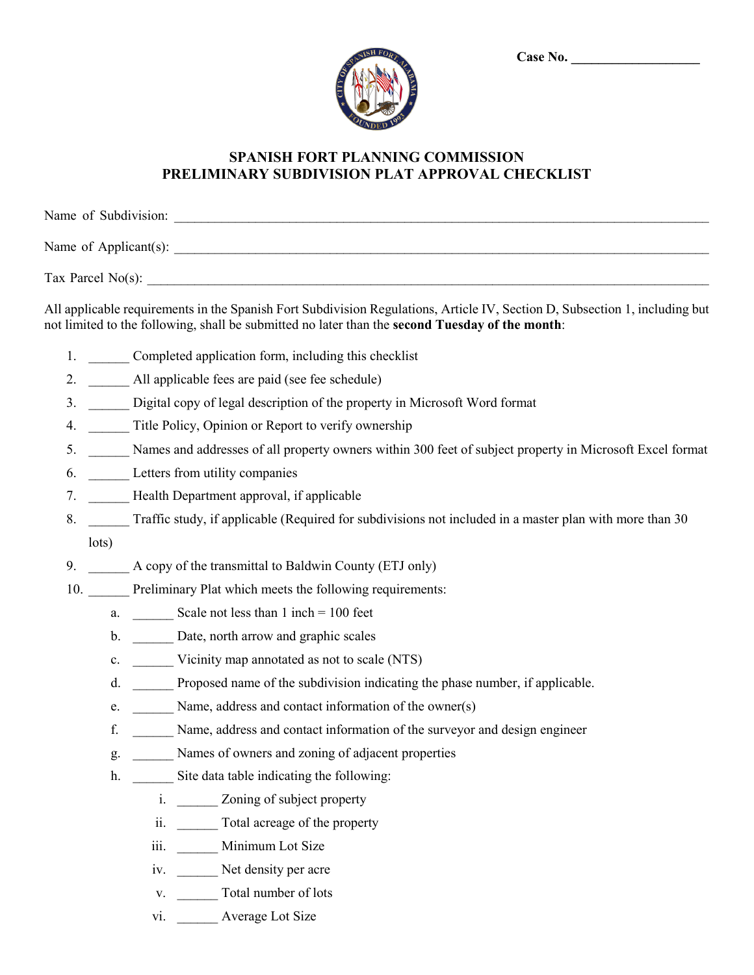| <b>DAMI</b> |  |  |
|-------------|--|--|
|             |  |  |
|             |  |  |
|             |  |  |

## **SPANISH FORT PLANNING COMMISSION PRELIMINARY SUBDIVISION PLAT APPROVAL CHECKLIST**

| Name of Subdivision:  |  |  |
|-----------------------|--|--|
| Name of Applicant(s): |  |  |
| Tax Parcel $No(s)$ :  |  |  |

All applicable requirements in the Spanish Fort Subdivision Regulations, Article IV, Section D, Subsection 1, including but not limited to the following, shall be submitted no later than the **second Tuesday of the month**:

- 1. Completed application form, including this checklist
- 2. All applicable fees are paid (see fee schedule)
- 3. \_\_\_\_\_\_ Digital copy of legal description of the property in Microsoft Word format
- 4. Title Policy, Opinion or Report to verify ownership
- 5. \_\_\_\_\_\_ Names and addresses of all property owners within 300 feet of subject property in Microsoft Excel format
- 6. \_\_\_\_\_\_ Letters from utility companies
- 7. **Health Department approval, if applicable**
- 8. Traffic study, if applicable (Required for subdivisions not included in a master plan with more than 30 lots)
- 9. A copy of the transmittal to Baldwin County (ETJ only)
- 10. Preliminary Plat which meets the following requirements:
	- a. Scale not less than  $1$  inch = 100 feet
	- b. Date, north arrow and graphic scales
	- c. Vicinity map annotated as not to scale (NTS)
	- d. \_\_\_\_\_\_ Proposed name of the subdivision indicating the phase number, if applicable.
	- e. Name, address and contact information of the owner(s)
	- f. \_\_\_\_\_\_ Name, address and contact information of the surveyor and design engineer
	- g. \_\_\_\_\_\_ Names of owners and zoning of adjacent properties
	- h. Site data table indicating the following:
		- i. Zoning of subject property
		- ii. \_\_\_\_\_\_\_\_ Total acreage of the property
		- iii. Minimum Lot Size
		- iv. Net density per acre
		- v. Total number of lots
		- vi. Average Lot Size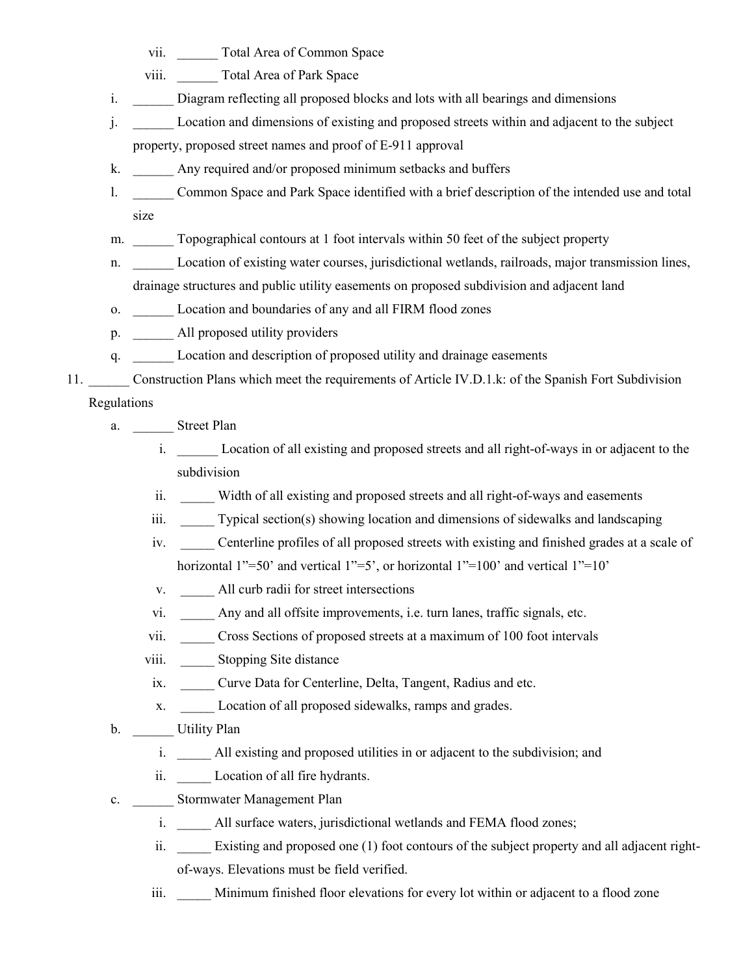- vii. Total Area of Common Space
- viii. Total Area of Park Space
- i. Diagram reflecting all proposed blocks and lots with all bearings and dimensions
- j. \_\_\_\_\_\_ Location and dimensions of existing and proposed streets within and adjacent to the subject property, proposed street names and proof of E-911 approval
- k. \_\_\_\_\_\_ Any required and/or proposed minimum setbacks and buffers
- l. \_\_\_\_\_\_ Common Space and Park Space identified with a brief description of the intended use and total size
- m. Topographical contours at 1 foot intervals within 50 feet of the subject property
- n. \_\_\_\_\_\_ Location of existing water courses, jurisdictional wetlands, railroads, major transmission lines, drainage structures and public utility easements on proposed subdivision and adjacent land
- o. Location and boundaries of any and all FIRM flood zones
- p. All proposed utility providers
- q. \_\_\_\_\_\_ Location and description of proposed utility and drainage easements
- 11. Construction Plans which meet the requirements of Article IV.D.1.k: of the Spanish Fort Subdivision Regulations
	- a. \_\_\_\_\_\_\_ Street Plan
		- i. Location of all existing and proposed streets and all right-of-ways in or adjacent to the subdivision
		- ii. Width of all existing and proposed streets and all right-of-ways and easements
		- iii. \_\_\_\_\_\_ Typical section(s) showing location and dimensions of sidewalks and landscaping
		- iv. \_\_\_\_\_ Centerline profiles of all proposed streets with existing and finished grades at a scale of horizontal 1"=50' and vertical 1"=5', or horizontal 1"=100' and vertical 1"=10'
		- v. All curb radii for street intersections
		- vi. \_\_\_\_\_ Any and all offsite improvements, i.e. turn lanes, traffic signals, etc.
		- vii. \_\_\_\_\_ Cross Sections of proposed streets at a maximum of 100 foot intervals
		- viii. Stopping Site distance
		- ix. \_\_\_\_\_ Curve Data for Centerline, Delta, Tangent, Radius and etc.
		- x. Location of all proposed sidewalks, ramps and grades.
	- b. Utility Plan
		- i. All existing and proposed utilities in or adjacent to the subdivision; and
		- ii. Location of all fire hydrants.
	- c. Stormwater Management Plan
		- i. All surface waters, jurisdictional wetlands and FEMA flood zones;
		- ii. Existing and proposed one (1) foot contours of the subject property and all adjacent rightof-ways. Elevations must be field verified.
		- iii. Minimum finished floor elevations for every lot within or adjacent to a flood zone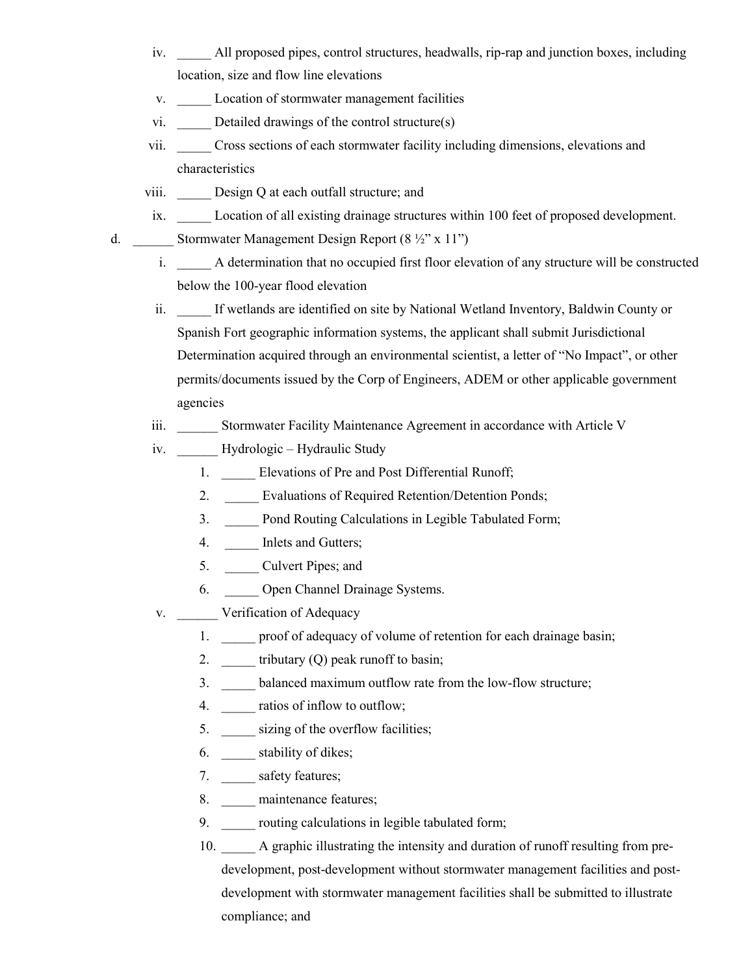- iv. \_\_\_\_\_ All proposed pipes, control structures, headwalls, rip-rap and junction boxes, including location, size and flow line elevations
- v. Location of stormwater management facilities
- vi. \_\_\_\_\_\_ Detailed drawings of the control structure(s)
- vii. \_\_\_\_\_ Cross sections of each stormwater facility including dimensions, elevations and characteristics
- viii. Design Q at each outfall structure; and
- ix. Location of all existing drainage structures within 100 feet of proposed development.
- d. Stormwater Management Design Report  $(8 \frac{1}{2}$ " x 11")
	- i. A determination that no occupied first floor elevation of any structure will be constructed below the 100-year flood elevation
	- ii. If wetlands are identified on site by National Wetland Inventory, Baldwin County or Spanish Fort geographic information systems, the applicant shall submit Jurisdictional Determination acquired through an environmental scientist, a letter of "No Impact", or other permits/documents issued by the Corp of Engineers, ADEM or other applicable government agencies
	- iii. Stormwater Facility Maintenance Agreement in accordance with Article V
	- iv. Hydrologic Hydraulic Study
		- 1. \_\_\_\_\_\_ Elevations of Pre and Post Differential Runoff;
		- 2. Evaluations of Required Retention/Detention Ponds;
		- 3. Pond Routing Calculations in Legible Tabulated Form;
		- 4. **Inlets and Gutters;**
		- 5. <u>Culvert Pipes; and</u>
		- 6. \_\_\_\_\_ Open Channel Drainage Systems.
	- v. Verification of Adequacy
		- 1. \_\_\_\_\_ proof of adequacy of volume of retention for each drainage basin;
		- 2. **tributary (Q) peak runoff to basin;**
		- 3. \_\_\_\_\_ balanced maximum outflow rate from the low-flow structure;
		- 4. \_\_\_\_\_\_ ratios of inflow to outflow;
		- 5. \_\_\_\_\_\_ sizing of the overflow facilities;
		- 6. \_\_\_\_\_ stability of dikes;
		- 7. safety features;
		- 8. <u>\_\_\_\_</u> maintenance features;
		- 9. \_\_\_\_\_\_ routing calculations in legible tabulated form;
		- 10. A graphic illustrating the intensity and duration of runoff resulting from predevelopment, post-development without stormwater management facilities and postdevelopment with stormwater management facilities shall be submitted to illustrate compliance; and